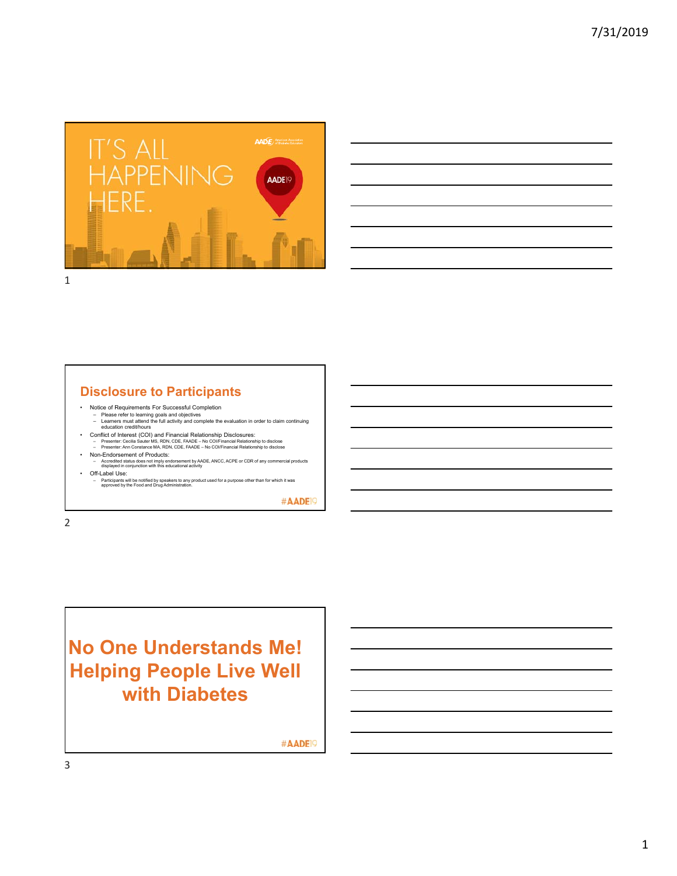

| and the contract of the contract of the contract of the contract of the contract of the contract of the contract of |       |
|---------------------------------------------------------------------------------------------------------------------|-------|
|                                                                                                                     |       |
| $\overline{\phantom{a}}$                                                                                            |       |
|                                                                                                                     | _____ |
|                                                                                                                     |       |
|                                                                                                                     |       |
|                                                                                                                     |       |
|                                                                                                                     |       |

**Disclosure to Participants**

- 
- Notice of Requirements For Successful Completion Please refer to learning goals and objectives Learners must attend the full activity and complete the evaluation in order to claim continuing education credit/hours
- Conflict of Interest (COI) and Financial Relationship Disclosures:<br>- Presenter: Cecilia Sauter MS, RDN, CDE, FAADE No COl/Financial Relationship to disclose →<br>- Presenter: Ann Constance MA, RDN, CDE, FAADE No COl/Fi
- Non-Endorsement of Products: Accredited status does not imply endorsement by AADE, ANCC, ACPE or CDR of any commercial products displayed in conjunction with this educational activity
- Off-Label Use:
- Participants will be notified by speakers to any product used for a purpose other than for which it was approved by the Food and Drug Administration.

#AADE<sup>19</sup>

2

**No One Understands Me! Helping People Live Well with Diabetes**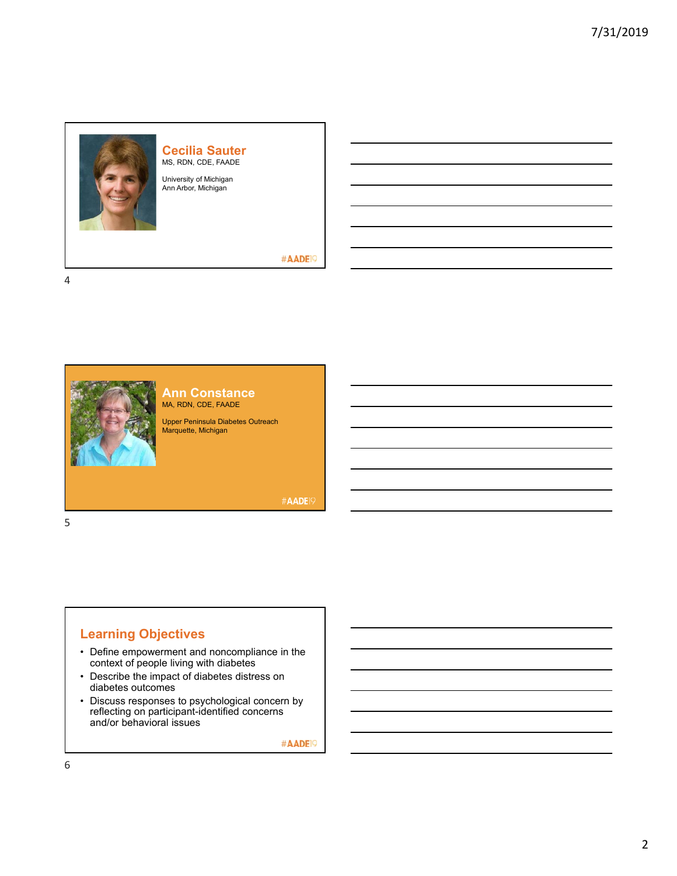

## **Cecilia Sauter** MS, RDN, CDE, FAADE

University of Michigan Ann Arbor, Michigan

#### #AADE<sup>19</sup>

4



**Ann Constance** MA, RDN, CDE, FAADE

Upper Peninsula Diabetes Outreach Marquette, Michigan

**#AADE19** 

#### 5

## **Learning Objectives**

- Define empowerment and noncompliance in the context of people living with diabetes
- Describe the impact of diabetes distress on diabetes outcomes
- Discuss responses to psychological concern by reflecting on participant-identified concerns and/or behavioral issues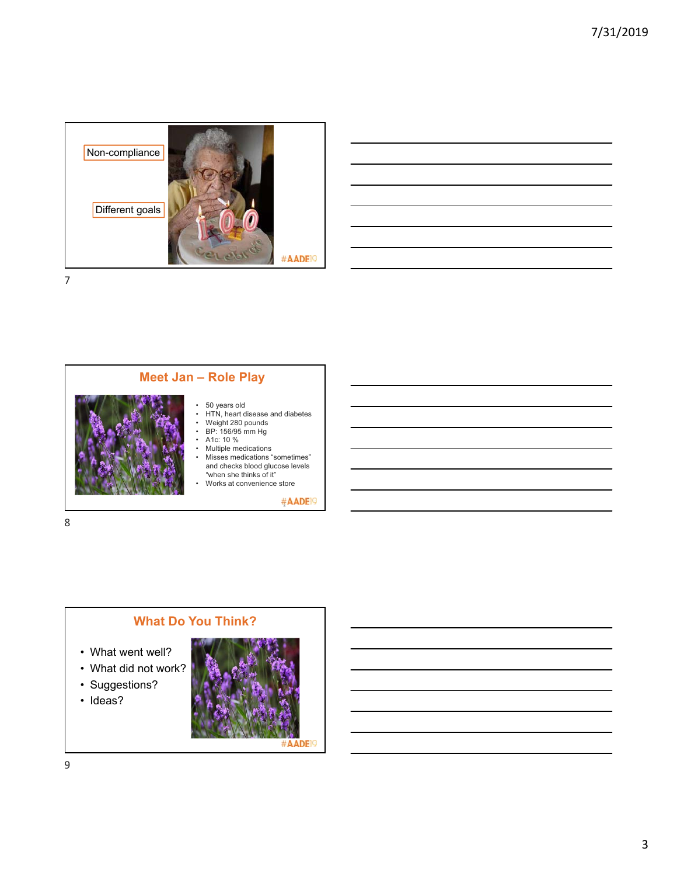







- What went well?
- What did not work?
- Suggestions?
- Ideas?

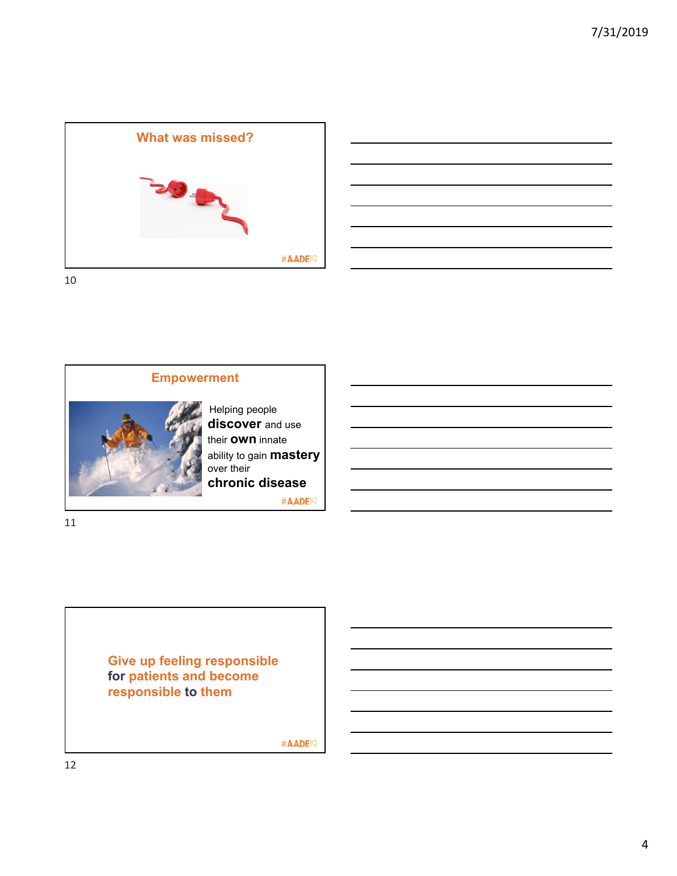





Helping people **discover** and use their **own** innate ability to gain **mastery** over their **chronic disease**

#AADE<sup>19</sup>

11

**Give up feeling responsible for patients and become responsible to them**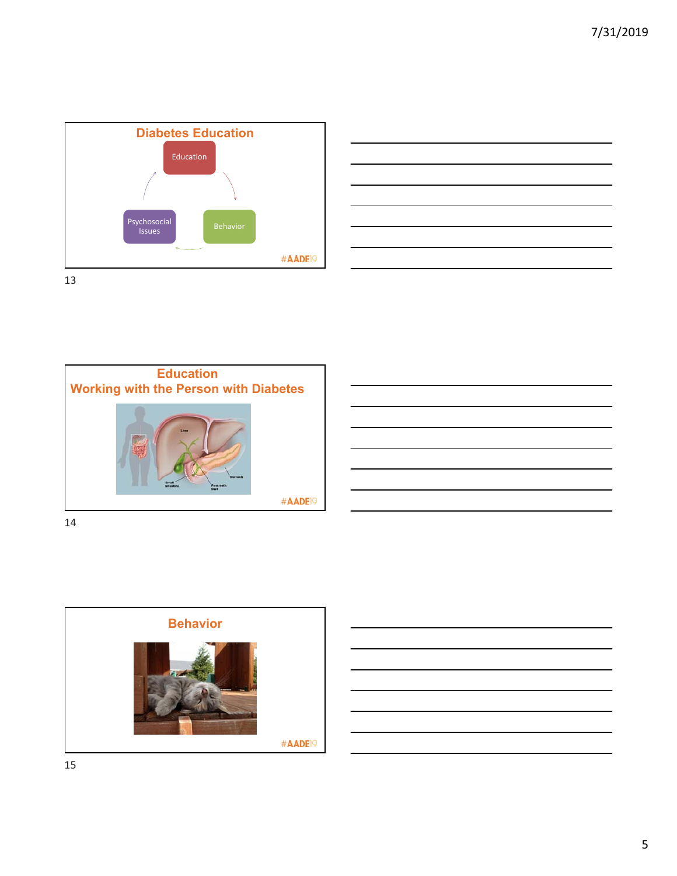





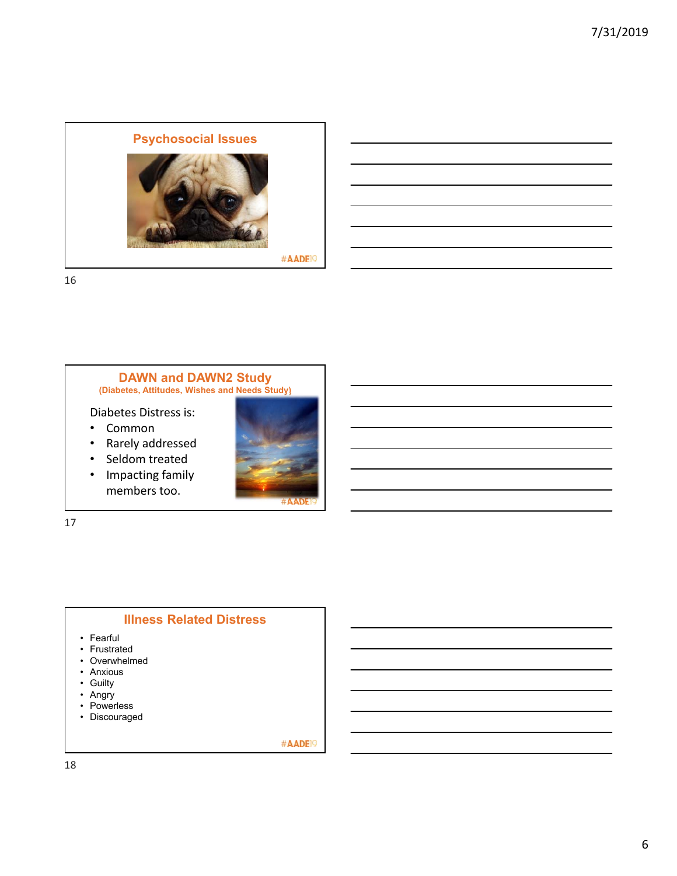

#### **DAWN and DAWN2 Study (Diabetes, Attitudes, Wishes and Needs Study)**

Diabetes Distress is:

- Common
- Rarely addressed
- Seldom treated
- Impacting family members too.



17

### **Illness Related Distress**

- Fearful
- Frustrated
- Overwhelmed
- Anxious
- Guilty
- Angry
- Powerless
- Discouraged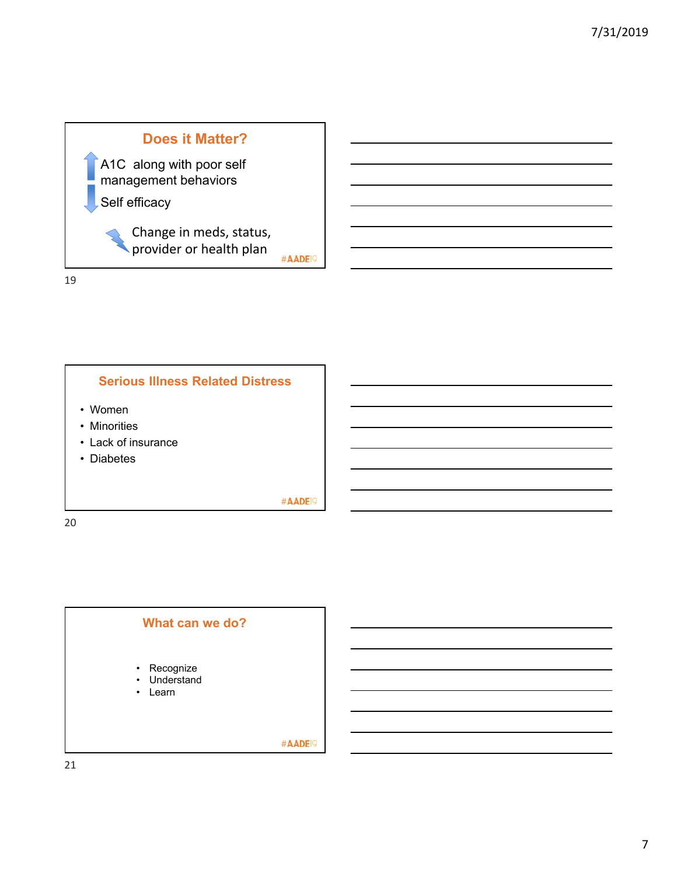



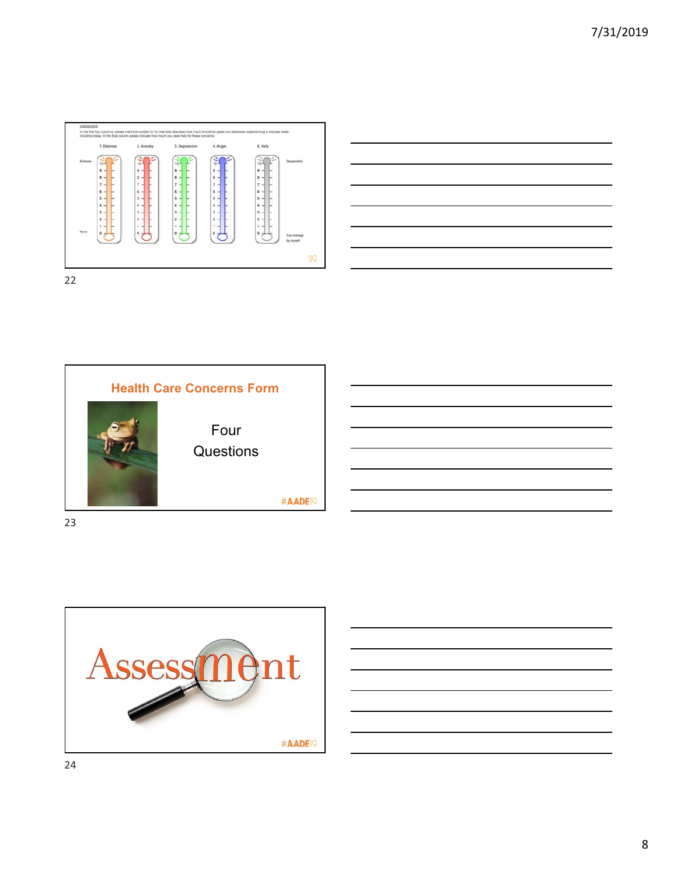







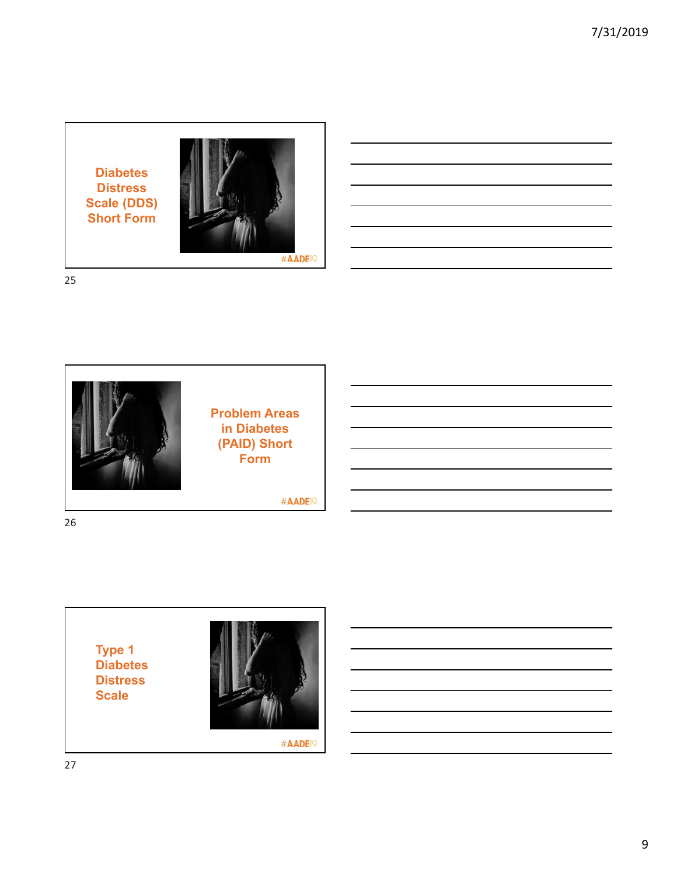**Diabetes Distress Scale (DDS) Short Form**



25



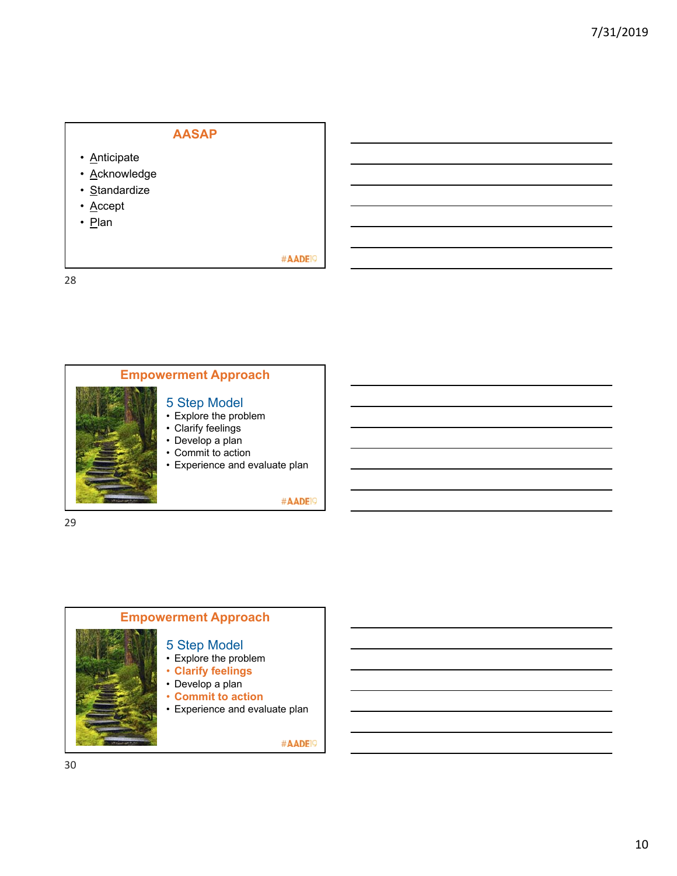## **AASAP**

- **Anticipate**
- Acknowledge
- Standardize
- Accept
- Plan

28



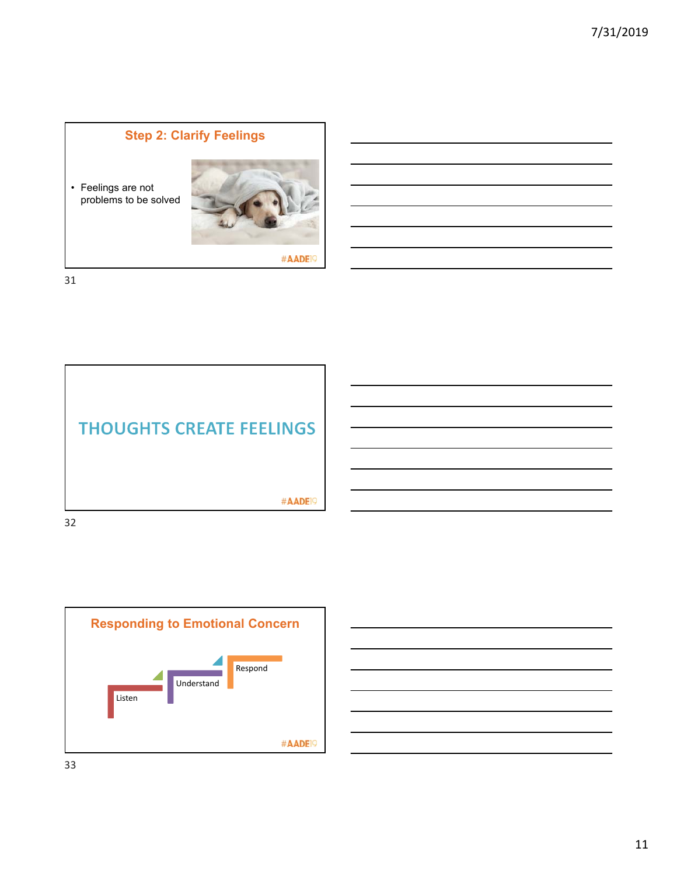## **Step 2: Clarify Feelings**

• Feelings are not problems to be solved



#AADE<sup>19</sup>

31





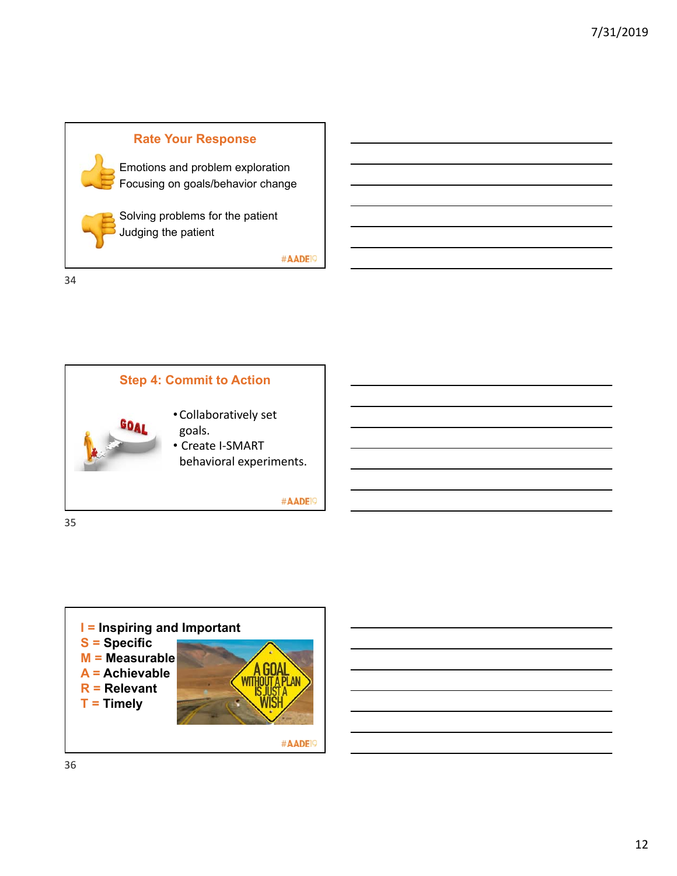



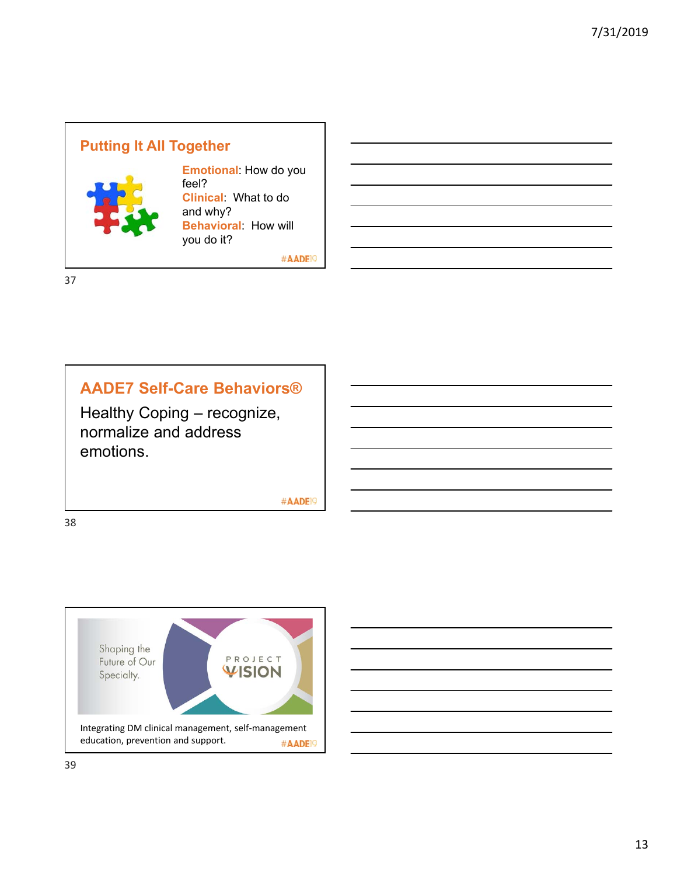# **Putting It All Together**



**Emotional**: How do you feel? **Clinical**: What to do and why? **Behavioral**: How will you do it?

#AADE<sup>19</sup>

37

## **AADE7 Self-Care Behaviors®**

Healthy Coping – recognize, normalize and address emotions.

#AADE<sup>19</sup>